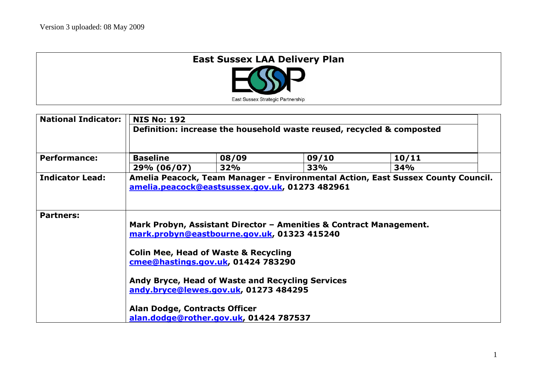| <b>East Sussex LAA Delivery Plan</b> |  |
|--------------------------------------|--|
| East Sussex Strategic Partnership    |  |

| <b>National Indicator:</b> | <b>NIS No: 192</b><br>Definition: increase the household waste reused, recycled & composted                                                                                                                                                                                                                                              |       |       |       |  |  |
|----------------------------|------------------------------------------------------------------------------------------------------------------------------------------------------------------------------------------------------------------------------------------------------------------------------------------------------------------------------------------|-------|-------|-------|--|--|
|                            |                                                                                                                                                                                                                                                                                                                                          |       |       |       |  |  |
| <b>Performance:</b>        | <b>Baseline</b>                                                                                                                                                                                                                                                                                                                          | 08/09 | 09/10 | 10/11 |  |  |
|                            | 29% (06/07)                                                                                                                                                                                                                                                                                                                              | 32%   | 33%   | 34%   |  |  |
| <b>Indicator Lead:</b>     | Amelia Peacock, Team Manager - Environmental Action, East Sussex County Council.<br>amelia.peacock@eastsussex.gov.uk, 01273 482961                                                                                                                                                                                                       |       |       |       |  |  |
| <b>Partners:</b>           | Mark Probyn, Assistant Director - Amenities & Contract Management.<br>mark.probyn@eastbourne.gov.uk, 01323 415240<br><b>Colin Mee, Head of Waste &amp; Recycling</b><br>cmee@hastings.gov.uk, 01424 783290<br>Andy Bryce, Head of Waste and Recycling Services<br>andy.bryce@lewes.gov.uk, 01273 484295<br>Alan Dodge, Contracts Officer |       |       |       |  |  |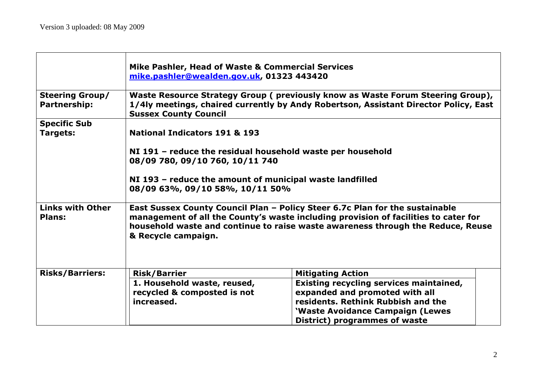|                                          | Mike Pashler, Head of Waste & Commercial Services<br>mike.pashler@wealden.gov.uk, 01323 443420                                                                                                                                                                                |                                                                                                                                                                                      |  |  |  |
|------------------------------------------|-------------------------------------------------------------------------------------------------------------------------------------------------------------------------------------------------------------------------------------------------------------------------------|--------------------------------------------------------------------------------------------------------------------------------------------------------------------------------------|--|--|--|
| <b>Steering Group/</b><br>Partnership:   | Waste Resource Strategy Group (previously know as Waste Forum Steering Group),<br>1/4ly meetings, chaired currently by Andy Robertson, Assistant Director Policy, East<br><b>Sussex County Council</b>                                                                        |                                                                                                                                                                                      |  |  |  |
| <b>Specific Sub</b>                      |                                                                                                                                                                                                                                                                               |                                                                                                                                                                                      |  |  |  |
| Targets:                                 | <b>National Indicators 191 &amp; 193</b>                                                                                                                                                                                                                                      |                                                                                                                                                                                      |  |  |  |
|                                          | NI 191 - reduce the residual household waste per household<br>08/09 780, 09/10 760, 10/11 740<br>NI 193 - reduce the amount of municipal waste landfilled<br>08/09 63%, 09/10 58%, 10/11 50%                                                                                  |                                                                                                                                                                                      |  |  |  |
| <b>Links with Other</b><br><b>Plans:</b> | East Sussex County Council Plan - Policy Steer 6.7c Plan for the sustainable<br>management of all the County's waste including provision of facilities to cater for<br>household waste and continue to raise waste awareness through the Reduce, Reuse<br>& Recycle campaign. |                                                                                                                                                                                      |  |  |  |
| <b>Risks/Barriers:</b>                   | <b>Risk/Barrier</b>                                                                                                                                                                                                                                                           | <b>Mitigating Action</b>                                                                                                                                                             |  |  |  |
|                                          | 1. Household waste, reused,<br>recycled & composted is not<br>increased.                                                                                                                                                                                                      | Existing recycling services maintained,<br>expanded and promoted with all<br>residents. Rethink Rubbish and the<br>'Waste Avoidance Campaign (Lewes<br>District) programmes of waste |  |  |  |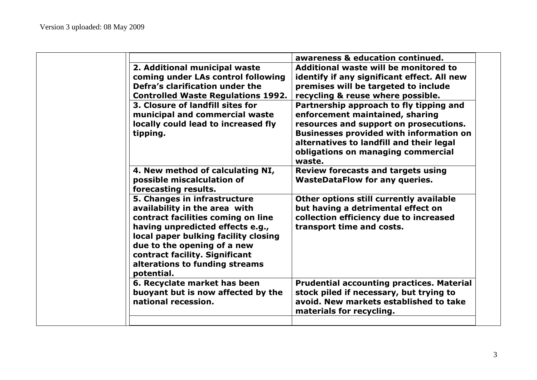|                                                                                                                                                                                                                                                                                                  | awareness & education continued.                                                                                                                                                                                                                                   |
|--------------------------------------------------------------------------------------------------------------------------------------------------------------------------------------------------------------------------------------------------------------------------------------------------|--------------------------------------------------------------------------------------------------------------------------------------------------------------------------------------------------------------------------------------------------------------------|
| 2. Additional municipal waste<br>coming under LAs control following<br>Defra's clarification under the<br><b>Controlled Waste Regulations 1992.</b>                                                                                                                                              | Additional waste will be monitored to<br>identify if any significant effect. All new<br>premises will be targeted to include<br>recycling & reuse where possible.                                                                                                  |
| 3. Closure of landfill sites for<br>municipal and commercial waste<br>locally could lead to increased fly<br>tipping.                                                                                                                                                                            | Partnership approach to fly tipping and<br>enforcement maintained, sharing<br>resources and support on prosecutions.<br><b>Businesses provided with information on</b><br>alternatives to landfill and their legal<br>obligations on managing commercial<br>waste. |
| 4. New method of calculating NI,<br>possible miscalculation of<br>forecasting results.                                                                                                                                                                                                           | <b>Review forecasts and targets using</b><br><b>WasteDataFlow for any queries.</b>                                                                                                                                                                                 |
| 5. Changes in infrastructure<br>availability in the area with<br>contract facilities coming on line<br>having unpredicted effects e.g.,<br>local paper bulking facility closing<br>due to the opening of a new<br>contract facility. Significant<br>alterations to funding streams<br>potential. | Other options still currently available<br>but having a detrimental effect on<br>collection efficiency due to increased<br>transport time and costs.                                                                                                               |
| 6. Recyclate market has been<br>buoyant but is now affected by the<br>national recession.                                                                                                                                                                                                        | <b>Prudential accounting practices. Material</b><br>stock piled if necessary, but trying to<br>avoid. New markets established to take<br>materials for recycling.                                                                                                  |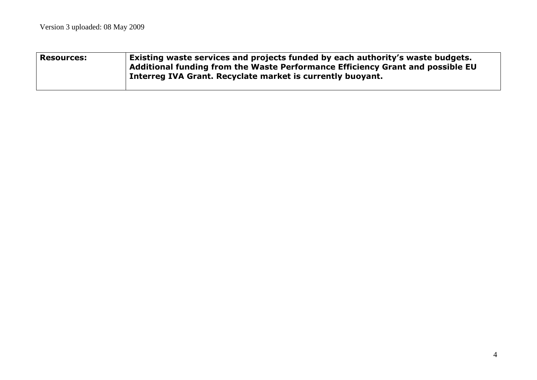| <b>Resources:</b> | $\vert$ Existing waste services and projects funded by each authority's waste budgets.<br>Additional funding from the Waste Performance Efficiency Grant and possible EU<br>Interreg IVA Grant. Recyclate market is currently buoyant. |
|-------------------|----------------------------------------------------------------------------------------------------------------------------------------------------------------------------------------------------------------------------------------|
|                   |                                                                                                                                                                                                                                        |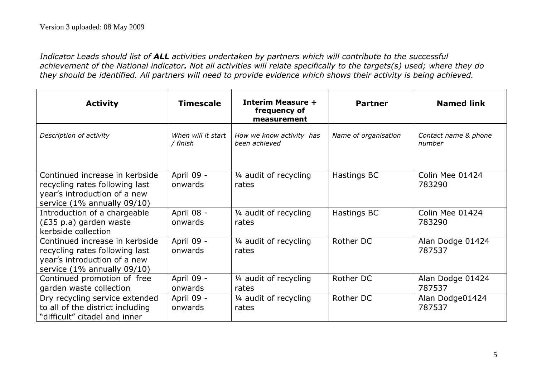*Indicator Leads should list of ALL activities undertaken by partners which will contribute to the successful achievement of the National indicator. Not all activities will relate specifically to the targets(s) used; where they do they should be identified. All partners will need to provide evidence which shows their activity is being achieved.*

| <b>Activity</b>                                                                                                                 | <b>Timescale</b>               | <b>Interim Measure +</b><br>frequency of<br>measurement | <b>Partner</b>       | <b>Named link</b>              |
|---------------------------------------------------------------------------------------------------------------------------------|--------------------------------|---------------------------------------------------------|----------------------|--------------------------------|
| Description of activity                                                                                                         | When will it start<br>/ finish | How we know activity has<br>been achieved               | Name of organisation | Contact name & phone<br>number |
| Continued increase in kerbside<br>recycling rates following last<br>year's introduction of a new<br>service (1% annually 09/10) | April 09 -<br>onwards          | 1/4 audit of recycling<br>rates                         | Hastings BC          | Colin Mee 01424<br>783290      |
| Introduction of a chargeable<br>(£35 p.a) garden waste<br>kerbside collection                                                   | April 08 -<br>onwards          | 1/4 audit of recycling<br>rates                         | Hastings BC          | Colin Mee 01424<br>783290      |
| Continued increase in kerbside<br>recycling rates following last<br>year's introduction of a new<br>service (1% annually 09/10) | April 09 -<br>onwards          | 1/4 audit of recycling<br>rates                         | Rother DC            | Alan Dodge 01424<br>787537     |
| Continued promotion of free<br>garden waste collection                                                                          | April 09 -<br>onwards          | 1/4 audit of recycling<br>rates                         | Rother DC            | Alan Dodge 01424<br>787537     |
| Dry recycling service extended<br>to all of the district including<br>"difficult" citadel and inner                             | April 09 -<br>onwards          | 1/4 audit of recycling<br>rates                         | Rother DC            | Alan Dodge01424<br>787537      |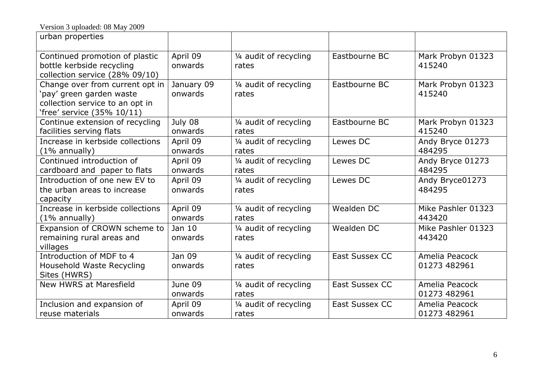| urban properties                                                                                                             |                       |                                 |                       |                                |
|------------------------------------------------------------------------------------------------------------------------------|-----------------------|---------------------------------|-----------------------|--------------------------------|
| Continued promotion of plastic<br>bottle kerbside recycling<br>collection service (28% 09/10)                                | April 09<br>onwards   | 1/4 audit of recycling<br>rates | Eastbourne BC         | Mark Probyn 01323<br>415240    |
| Change over from current opt in<br>'pay' green garden waste<br>collection service to an opt in<br>'free' service (35% 10/11) | January 09<br>onwards | 1/4 audit of recycling<br>rates | Eastbourne BC         | Mark Probyn 01323<br>415240    |
| Continue extension of recycling<br>facilities serving flats                                                                  | July 08<br>onwards    | 1/4 audit of recycling<br>rates | Eastbourne BC         | Mark Probyn 01323<br>415240    |
| Increase in kerbside collections<br>$(1\%$ annually)                                                                         | April 09<br>onwards   | 1/4 audit of recycling<br>rates | Lewes DC              | Andy Bryce 01273<br>484295     |
| Continued introduction of<br>cardboard and paper to flats                                                                    | April 09<br>onwards   | 1/4 audit of recycling<br>rates | Lewes DC              | Andy Bryce 01273<br>484295     |
| Introduction of one new EV to<br>the urban areas to increase<br>capacity                                                     | April 09<br>onwards   | 1/4 audit of recycling<br>rates | Lewes DC              | Andy Bryce01273<br>484295      |
| Increase in kerbside collections<br>$(1\%$ annually)                                                                         | April 09<br>onwards   | 1/4 audit of recycling<br>rates | Wealden DC            | Mike Pashler 01323<br>443420   |
| Expansion of CROWN scheme to<br>remaining rural areas and<br>villages                                                        | Jan $10$<br>onwards   | 1/4 audit of recycling<br>rates | Wealden DC            | Mike Pashler 01323<br>443420   |
| Introduction of MDF to 4<br>Household Waste Recycling<br>Sites (HWRS)                                                        | Jan 09<br>onwards     | 1/4 audit of recycling<br>rates | <b>East Sussex CC</b> | Amelia Peacock<br>01273 482961 |
| <b>New HWRS at Maresfield</b>                                                                                                | June 09<br>onwards    | 1/4 audit of recycling<br>rates | <b>East Sussex CC</b> | Amelia Peacock<br>01273 482961 |
| Inclusion and expansion of<br>reuse materials                                                                                | April 09<br>onwards   | 1/4 audit of recycling<br>rates | <b>East Sussex CC</b> | Amelia Peacock<br>01273 482961 |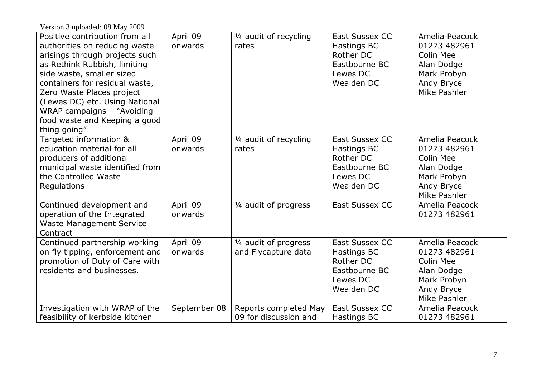| Version 3 uploaded: 08 May 2009                                                                                                                                                                                                                                                                                                                |                     |                                                |                                                                                              |                                                                                                               |
|------------------------------------------------------------------------------------------------------------------------------------------------------------------------------------------------------------------------------------------------------------------------------------------------------------------------------------------------|---------------------|------------------------------------------------|----------------------------------------------------------------------------------------------|---------------------------------------------------------------------------------------------------------------|
| Positive contribution from all<br>authorities on reducing waste<br>arisings through projects such<br>as Rethink Rubbish, limiting<br>side waste, smaller sized<br>containers for residual waste,<br>Zero Waste Places project<br>(Lewes DC) etc. Using National<br>WRAP campaigns - "Avoiding<br>food waste and Keeping a good<br>thing going" | April 09<br>onwards | 1/4 audit of recycling<br>rates                | <b>East Sussex CC</b><br>Hastings BC<br>Rother DC<br>Eastbourne BC<br>Lewes DC<br>Wealden DC | Amelia Peacock<br>01273 482961<br>Colin Mee<br>Alan Dodge<br>Mark Probyn<br><b>Andy Bryce</b><br>Mike Pashler |
| Targeted information &<br>education material for all<br>producers of additional<br>municipal waste identified from<br>the Controlled Waste<br>Regulations                                                                                                                                                                                      | April 09<br>onwards | 1/4 audit of recycling<br>rates                | <b>East Sussex CC</b><br>Hastings BC<br>Rother DC<br>Eastbourne BC<br>Lewes DC<br>Wealden DC | Amelia Peacock<br>01273 482961<br>Colin Mee<br>Alan Dodge<br>Mark Probyn<br>Andy Bryce<br>Mike Pashler        |
| Continued development and<br>operation of the Integrated<br><b>Waste Management Service</b><br>Contract                                                                                                                                                                                                                                        | April 09<br>onwards | 1/4 audit of progress                          | East Sussex CC                                                                               | Amelia Peacock<br>01273 482961                                                                                |
| Continued partnership working<br>on fly tipping, enforcement and<br>promotion of Duty of Care with<br>residents and businesses.                                                                                                                                                                                                                | April 09<br>onwards | 1/4 audit of progress<br>and Flycapture data   | <b>East Sussex CC</b><br>Hastings BC<br>Rother DC<br>Eastbourne BC<br>Lewes DC<br>Wealden DC | Amelia Peacock<br>01273 482961<br>Colin Mee<br>Alan Dodge<br>Mark Probyn<br>Andy Bryce<br>Mike Pashler        |
| Investigation with WRAP of the<br>feasibility of kerbside kitchen                                                                                                                                                                                                                                                                              | September 08        | Reports completed May<br>09 for discussion and | East Sussex CC<br>Hastings BC                                                                | Amelia Peacock<br>01273 482961                                                                                |